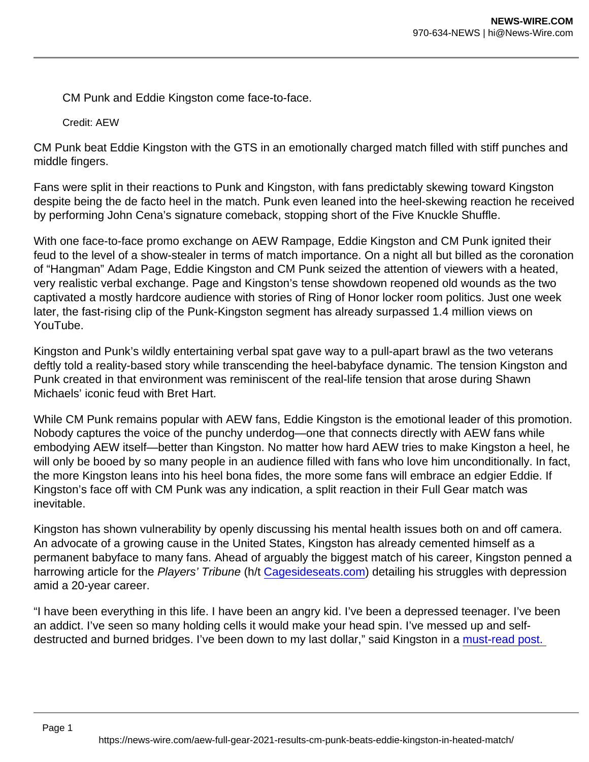CM Punk and Eddie Kingston come face-to-face.

Credit: AEW

CM Punk beat Eddie Kingston with the GTS in an emotionally charged match filled with stiff punches and middle fingers.

Fans were split in their reactions to Punk and Kingston, with fans predictably skewing toward Kingston despite being the de facto heel in the match. Punk even leaned into the heel-skewing reaction he received by performing John Cena's signature comeback, stopping short of the Five Knuckle Shuffle.

With one face-to-face promo exchange on AEW Rampage, Eddie Kingston and CM Punk ignited their feud to the level of a show-stealer in terms of match importance. On a night all but billed as the coronation of "Hangman" Adam Page, Eddie Kingston and CM Punk seized the attention of viewers with a heated, very realistic verbal exchange. Page and Kingston's tense showdown reopened old wounds as the two captivated a mostly hardcore audience with stories of Ring of Honor locker room politics. Just one week later, the fast-rising clip of the Punk-Kingston segment has already surpassed 1.4 million views on YouTube.

Kingston and Punk's wildly entertaining verbal spat gave way to a pull-apart brawl as the two veterans deftly told a reality-based story while transcending the heel-babyface dynamic. The tension Kingston and Punk created in that environment was reminiscent of the real-life tension that arose during Shawn Michaels' iconic feud with Bret Hart.

While CM Punk remains popular with AEW fans, Eddie Kingston is the emotional leader of this promotion. Nobody captures the voice of the punchy underdog—one that connects directly with AEW fans while embodying AEW itself—better than Kingston. No matter how hard AEW tries to make Kingston a heel, he will only be booed by so many people in an audience filled with fans who love him unconditionally. In fact, the more Kingston leans into his heel bona fides, the more some fans will embrace an edgier Eddie. If Kingston's face off with CM Punk was any indication, a split reaction in their Full Gear match was inevitable.

Kingston has shown vulnerability by openly discussing his mental health issues both on and off camera. An advocate of a growing cause in the United States, Kingston has already cemented himself as a permanent babyface to many fans. Ahead of arguably the biggest match of his career, Kingston penned a harrowing article for the Players' Tribune (h/t [Cagesideseats.com\)](https://www.cagesideseats.com/aew/2021/11/9/22772074/eddie-kingston-players-tribune-must-read-post) detailing his struggles with depression amid a 20-year career.

"I have been everything in this life. I have been an angry kid. I've been a depressed teenager. I've been an addict. I've seen so many holding cells it would make your head spin. I've messed up and selfdestructed and burned bridges. I've been down to my last dollar," said Kingston in a must-read post.